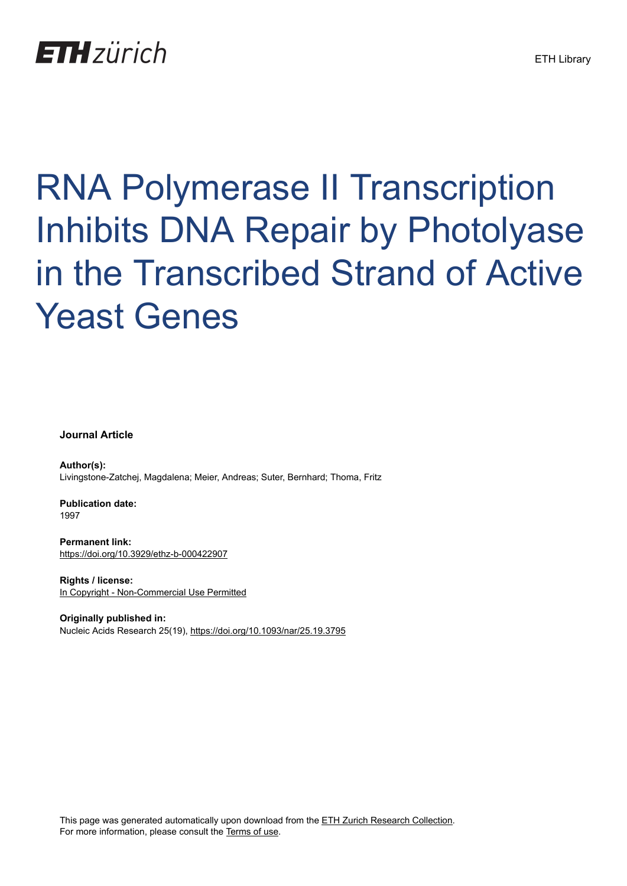## **ETH** zürich

# RNA Polymerase II Transcription Inhibits DNA Repair by Photolyase in the Transcribed Strand of Active Yeast Genes

**Journal Article**

**Author(s):** Livingstone-Zatchej, Magdalena; Meier, Andreas; Suter, Bernhard; Thoma, Fritz

**Publication date:** 1997

**Permanent link:** <https://doi.org/10.3929/ethz-b-000422907>

**Rights / license:** [In Copyright - Non-Commercial Use Permitted](http://rightsstatements.org/page/InC-NC/1.0/)

**Originally published in:** Nucleic Acids Research 25(19), <https://doi.org/10.1093/nar/25.19.3795>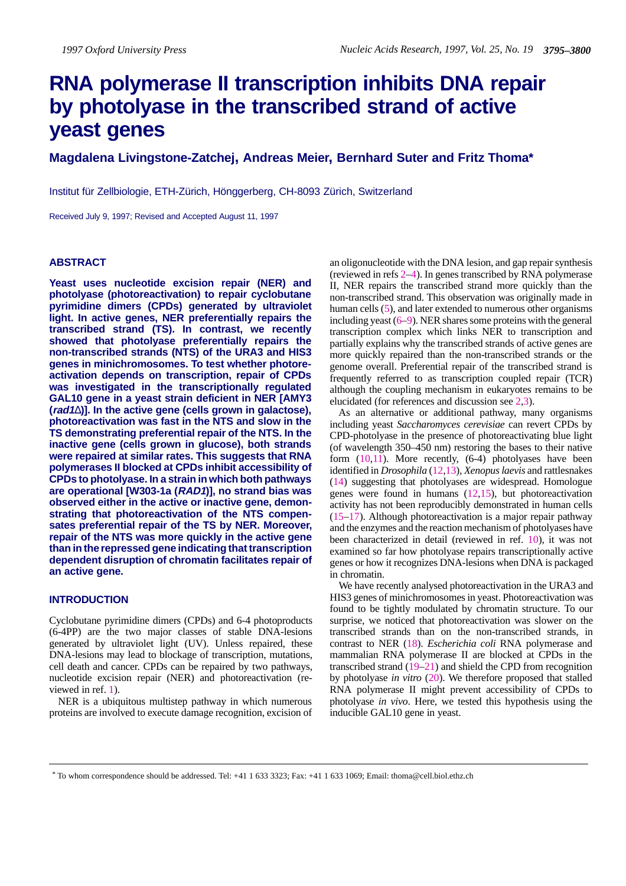### **RNA polymerase II transcription inhibits DNA repair by photolyase in the transcribed strand of active yeast genes**

#### **Magdalena Livingstone-Zatchej, Andreas Meier, Bernhard Suter and Fritz Thoma\***

Institut für Zellbiologie, ETH-Zürich, Hönggerberg, CH-8093 Zürich, Switzerland

Received July 9, 1997; Revised and Accepted August 11, 1997

#### **ABSTRACT**

**Yeast uses nucleotide excision repair (NER) and photolyase (photoreactivation) to repair cyclobutane pyrimidine dimers (CPDs) generated by ultraviolet light. In active genes, NER preferentially repairs the transcribed strand (TS). In contrast, we recently showed that photolyase preferentially repairs the non-transcribed strands (NTS) of the URA3 and HIS3 genes in minichromosomes. To test whether photoreactivation depends on transcription, repair of CPDs was investigated in the transcriptionally regulated GAL10 gene in a yeast strain deficient in NER [AMY3 (rad1**∆**)]. In the active gene (cells grown in galactose), photoreactivation was fast in the NTS and slow in the TS demonstrating preferential repair of the NTS. In the inactive gene (cells grown in glucose), both strands were repaired at similar rates. This suggests that RNA polymerases II blocked at CPDs inhibit accessibility of CPDs to photolyase. In a strain in which both pathways are operational [W303-1a (RAD1)], no strand bias was observed either in the active or inactive gene, demonstrating that photoreactivation of the NTS compensates preferential repair of the TS by NER. Moreover, repair of the NTS was more quickly in the active gene than in the repressed gene indicating that transcription dependent disruption of chromatin facilitates repair of an active gene.**

#### **INTRODUCTION**

Cyclobutane pyrimidine dimers (CPDs) and 6-4 photoproducts (6-4PP) are the two major classes of stable DNA-lesions generated by ultraviolet light (UV). Unless repaired, these DNA-lesions may lead to blockage of transcription, mutations, cell death and cancer. CPDs can be repaired by two pathways, nucleotide excision repair (NER) and photoreactivation (reviewed in ref. 1).

NER is a ubiquitous multistep pathway in which numerous proteins are involved to execute damage recognition, excision of

an oligonucleotide with the DNA lesion, and gap repair synthesis (reviewed in refs 2–4). In genes transcribed by RNA polymerase II, NER repairs the transcribed strand more quickly than the non-transcribed strand. This observation was originally made in human cells (5), and later extended to numerous other organisms including yeast (6–9). NER shares some proteins with the general transcription complex which links NER to transcription and partially explains why the transcribed strands of active genes are more quickly repaired than the non-transcribed strands or the genome overall. Preferential repair of the transcribed strand is frequently referred to as transcription coupled repair (TCR) although the coupling mechanism in eukaryotes remains to be elucidated (for references and discussion see 2,3).

As an alternative or additional pathway, many organisms including yeast *Saccharomyces cerevisiae* can revert CPDs by CPD-photolyase in the presence of photoreactivating blue light (of wavelength 350–450 nm) restoring the bases to their native form (10,11). More recently, (6-4) photolyases have been identified in *Drosophila* (12,13), *Xenopus laevis* and rattlesnakes (14) suggesting that photolyases are widespread. Homologue genes were found in humans (12,15), but photoreactivation activity has not been reproducibly demonstrated in human cells (15–17). Although photoreactivation is a major repair pathway and the enzymes and the reaction mechanism of photolyases have been characterized in detail (reviewed in ref. 10), it was not examined so far how photolyase repairs transcriptionally active genes or how it recognizes DNA-lesions when DNA is packaged in chromatin.

We have recently analysed photoreactivation in the URA3 and HIS3 genes of minichromosomes in yeast. Photoreactivation was found to be tightly modulated by chromatin structure. To our surprise, we noticed that photoreactivation was slower on the transcribed strands than on the non-transcribed strands, in contrast to NER (18). *Escherichia coli* RNA polymerase and mammalian RNA polymerase II are blocked at CPDs in the transcribed strand (19–21) and shield the CPD from recognition by photolyase *in vitro* (20). We therefore proposed that stalled RNA polymerase II might prevent accessibility of CPDs to photolyase *in vivo*. Here, we tested this hypothesis using the inducible GAL10 gene in yeast.

\* To whom correspondence should be addressed. Tel: +41 1 633 3323; Fax: +41 1 633 1069; Email: thoma@cell.biol.ethz.ch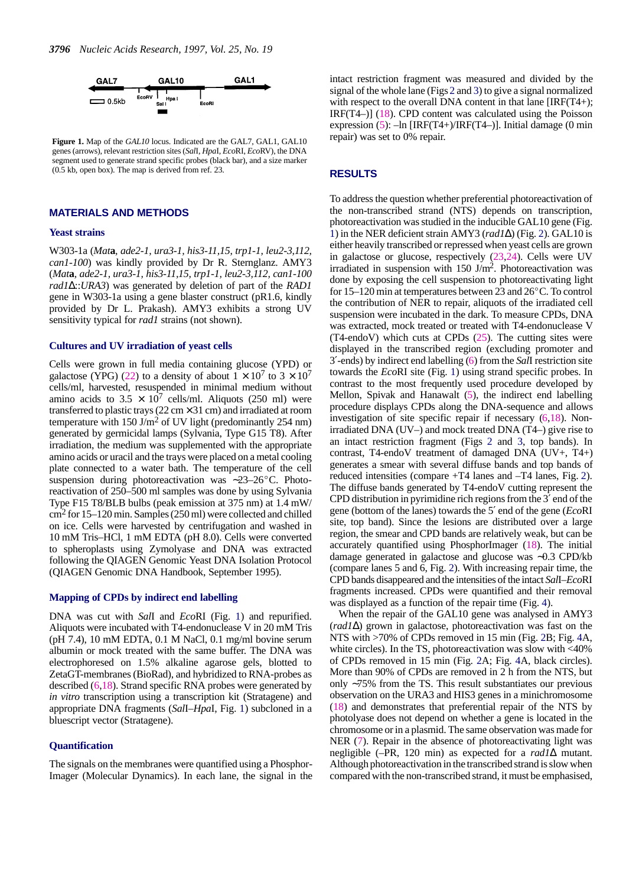

**Figure 1.** Map of the *GAL10* locus. Indicated are the GAL7, GAL1, GAL10 genes (arrows), relevant restriction sites (*Sal*I, *Hpa*I, *Eco*RI, *Eco*RV), the DNA segment used to generate strand specific probes (black bar), and a size marker (0.5 kb, open box). The map is derived from ref. 23.

#### **MATERIALS AND METHODS**

#### **Yeast strains**

W303-1a (*Mat***a***, ade2-1, ura3-1, his3-11,15, trp1-1, leu2-3,112, can1-100*) was kindly provided by Dr R. Sternglanz. AMY3 (*Mat***a***, ade2-1, ura3-1, his3-11,15, trp1-1, leu2-3,112, can1-100 rad1*∆::*URA3*) was generated by deletion of part of the *RAD1* gene in W303-1a using a gene blaster construct (pR1.6, kindly provided by Dr L. Prakash). AMY3 exhibits a strong UV sensitivity typical for *rad1* strains (not shown).

#### **Cultures and UV irradiation of yeast cells**

Cells were grown in full media containing glucose (YPD) or galactose (YPG) (22) to a density of about  $1 \times 10^7$  to  $3 \times 10^7$ cells/ml, harvested, resuspended in minimal medium without amino acids to  $3.5 \times 10^7$  cells/ml. Aliquots (250 ml) were transferred to plastic trays ( $22 \text{ cm} \times 31 \text{ cm}$ ) and irradiated at room temperature with 150 J/m<sup>2</sup> of UV light (predominantly 254 nm) generated by germicidal lamps (Sylvania, Type G15 T8). After irradiation, the medium was supplemented with the appropriate amino acids or uracil and the trays were placed on a metal cooling plate connected to a water bath. The temperature of the cell suspension during photoreactivation was ~23–26°C. Photoreactivation of 250–500 ml samples was done by using Sylvania Type F15 T8/BLB bulbs (peak emission at 375 nm) at 1.4 mW/ cm2 for 15–120 min. Samples (250 ml) were collected and chilled on ice. Cells were harvested by centrifugation and washed in 10 mM Tris–HCl, 1 mM EDTA (pH 8.0). Cells were converted to spheroplasts using Zymolyase and DNA was extracted following the QIAGEN Genomic Yeast DNA Isolation Protocol (QIAGEN Genomic DNA Handbook, September 1995).

#### **Mapping of CPDs by indirect end labelling**

DNA was cut with *Sal*I and *Eco*RI (Fig. 1) and repurified. Aliquots were incubated with T4-endonuclease V in 20 mM Tris (pH 7.4), 10 mM EDTA, 0.1 M NaCl, 0.1 mg/ml bovine serum albumin or mock treated with the same buffer. The DNA was electrophoresed on 1.5% alkaline agarose gels, blotted to ZetaGT-membranes (BioRad), and hybridized to RNA-probes as described (6,18). Strand specific RNA probes were generated by *in vitro* transcription using a transcription kit (Stratagene) and appropriate DNA fragments (*Sal*I–*Hpa*I, Fig. 1) subcloned in a bluescript vector (Stratagene).

#### **Quantification**

The signals on the membranes were quantified using a Phosphor-Imager (Molecular Dynamics). In each lane, the signal in the intact restriction fragment was measured and divided by the signal of the whole lane (Figs 2 and 3) to give a signal normalized with respect to the overall DNA content in that lane [IRF(T4+); IRF(T4–)] (18). CPD content was calculated using the Poisson expression  $(5)$ :  $-\ln$  [IRF(T4+)/IRF(T4-)]. Initial damage (0 min repair) was set to 0% repair.

#### **RESULTS**

To address the question whether preferential photoreactivation of the non-transcribed strand (NTS) depends on transcription, photoreactivation was studied in the inducible GAL10 gene (Fig. 1) in the NER deficient strain AMY3 (*rad1*∆) (Fig. 2). GAL10 is either heavily transcribed or repressed when yeast cells are grown in galactose or glucose, respectively (23,24). Cells were UV irradiated in suspension with  $150 \text{ J/m}^2$ . Photoreactivation was done by exposing the cell suspension to photoreactivating light for  $15-120$  min at temperatures between 23 and  $26^{\circ}$ C. To control the contribution of NER to repair, aliquots of the irradiated cell suspension were incubated in the dark. To measure CPDs, DNA was extracted, mock treated or treated with T4-endonuclease V (T4-endoV) which cuts at CPDs (25). The cutting sites were displayed in the transcribed region (excluding promoter and 3′-ends) by indirect end labelling (6) from the *Sal*I restriction site towards the *Eco*RI site (Fig. 1) using strand specific probes. In contrast to the most frequently used procedure developed by Mellon, Spivak and Hanawalt (5), the indirect end labelling procedure displays CPDs along the DNA-sequence and allows investigation of site specific repair if necessary (6,18). Nonirradiated DNA (UV–) and mock treated DNA (T4–) give rise to an intact restriction fragment (Figs 2 and 3, top bands). In contrast, T4-endoV treatment of damaged DNA (UV+, T4+) generates a smear with several diffuse bands and top bands of reduced intensities (compare +T4 lanes and –T4 lanes, Fig. 2). The diffuse bands generated by T4-endoV cutting represent the CPD distribution in pyrimidine rich regions from the 3′ end of the gene (bottom of the lanes) towards the 5′ end of the gene (*Eco*RI site, top band). Since the lesions are distributed over a large region, the smear and CPD bands are relatively weak, but can be accurately quantified using PhosphorImager (18). The initial damage generated in galactose and glucose was ∼0.3 CPD/kb (compare lanes 5 and 6, Fig. 2). With increasing repair time, the CPD bands disappeared and the intensities of the intact *Sal*I–*Eco*RI fragments increased. CPDs were quantified and their removal was displayed as a function of the repair time (Fig. 4).

When the repair of the GAL10 gene was analysed in AMY3 (*rad1*∆) grown in galactose, photoreactivation was fast on the NTS with >70% of CPDs removed in 15 min (Fig. 2B; Fig. 4A, white circles). In the TS, photoreactivation was slow with <40% of CPDs removed in 15 min (Fig. 2A; Fig. 4A, black circles). More than 90% of CPDs are removed in 2 h from the NTS, but only ∼75% from the TS. This result substantiates our previous observation on the URA3 and HIS3 genes in a minichromosome (18) and demonstrates that preferential repair of the NTS by photolyase does not depend on whether a gene is located in the chromosome or in a plasmid. The same observation was made for NER (7). Repair in the absence of photoreactivating light was negligible (–PR, 120 min) as expected for a *rad1*∆ mutant. Although photoreactivation in the transcribed strand is slow when compared with the non-transcribed strand, it must be emphasised,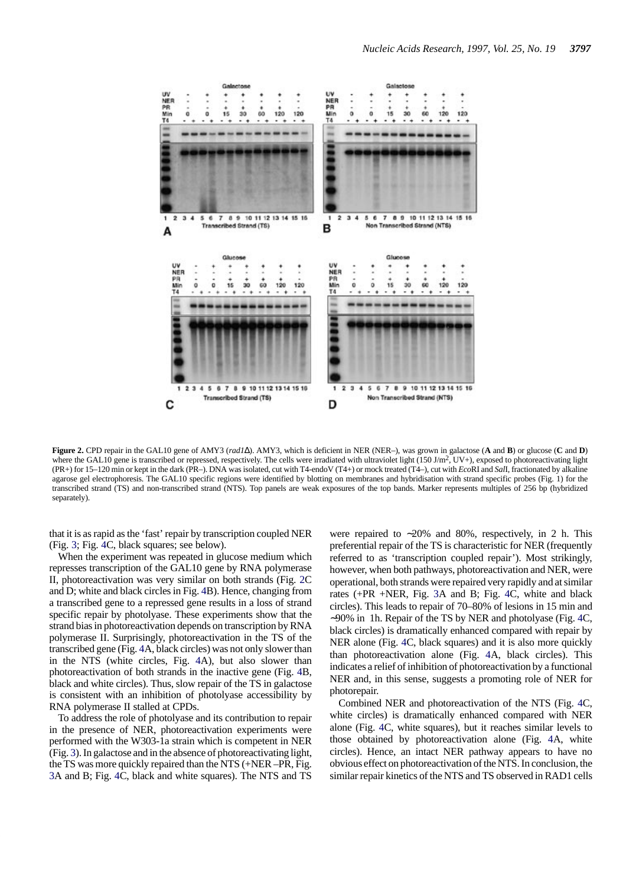

**Figure 2.** CPD repair in the GAL10 gene of AMY3 (*rad1*∆). AMY3, which is deficient in NER (NER–), was grown in galactose (**A** and **B**) or glucose (**C** and **D**) where the GAL10 gene is transcribed or repressed, respectively. The cells were irradiated with ultraviolet light  $(150 \text{ J/m}^2, UV+)$ , exposed to photoreactivating light (PR+) for 15–120 min or kept in the dark (PR–). DNA was isolated, cut with T4-endoV (T4+) or mock treated (T4–), cut with *Eco*RI and *Sal*I, fractionated by alkaline agarose gel electrophoresis. The GAL10 specific regions were identified by blotting on membranes and hybridisation with strand specific probes (Fig. 1) for the transcribed strand (TS) and non-transcribed strand (NTS). Top panels are weak exposures of the top bands. Marker represents multiples of 256 bp (hybridized separately).

that it is as rapid as the 'fast' repair by transcription coupled NER (Fig. 3; Fig. 4C, black squares; see below).

When the experiment was repeated in glucose medium which represses transcription of the GAL10 gene by RNA polymerase II, photoreactivation was very similar on both strands (Fig. 2C and D; white and black circles in Fig. 4B). Hence, changing from a transcribed gene to a repressed gene results in a loss of strand specific repair by photolyase. These experiments show that the strand bias in photoreactivation depends on transcription by RNA polymerase II. Surprisingly, photoreactivation in the TS of the transcribed gene (Fig. 4A, black circles) was not only slower than in the NTS (white circles, Fig. 4A), but also slower than photoreactivation of both strands in the inactive gene (Fig. 4B, black and white circles). Thus, slow repair of the TS in galactose is consistent with an inhibition of photolyase accessibility by RNA polymerase II stalled at CPDs.

To address the role of photolyase and its contribution to repair in the presence of NER, photoreactivation experiments were performed with the W303-1a strain which is competent in NER (Fig. 3). In galactose and in the absence of photoreactivating light, the TS was more quickly repaired than the NTS (+NER –PR, Fig. 3A and B; Fig. 4C, black and white squares). The NTS and TS

were repaired to ∼20% and 80%, respectively, in 2 h. This preferential repair of the TS is characteristic for NER (frequently referred to as 'transcription coupled repair'). Most strikingly, however, when both pathways, photoreactivation and NER, were operational, both strands were repaired very rapidly and at similar rates (+PR +NER, Fig. 3A and B; Fig. 4C, white and black circles). This leads to repair of 70–80% of lesions in 15 min and ∼90% in 1h. Repair of the TS by NER and photolyase (Fig. 4C, black circles) is dramatically enhanced compared with repair by NER alone (Fig. 4C, black squares) and it is also more quickly than photoreactivation alone (Fig. 4A, black circles). This indicates a relief of inhibition of photoreactivation by a functional NER and, in this sense, suggests a promoting role of NER for photorepair.

Combined NER and photoreactivation of the NTS (Fig. 4C, white circles) is dramatically enhanced compared with NER alone (Fig. 4C, white squares), but it reaches similar levels to those obtained by photoreactivation alone (Fig. 4A, white circles). Hence, an intact NER pathway appears to have no obvious effect on photoreactivation of the NTS. In conclusion, the similar repair kinetics of the NTS and TS observed in RAD1 cells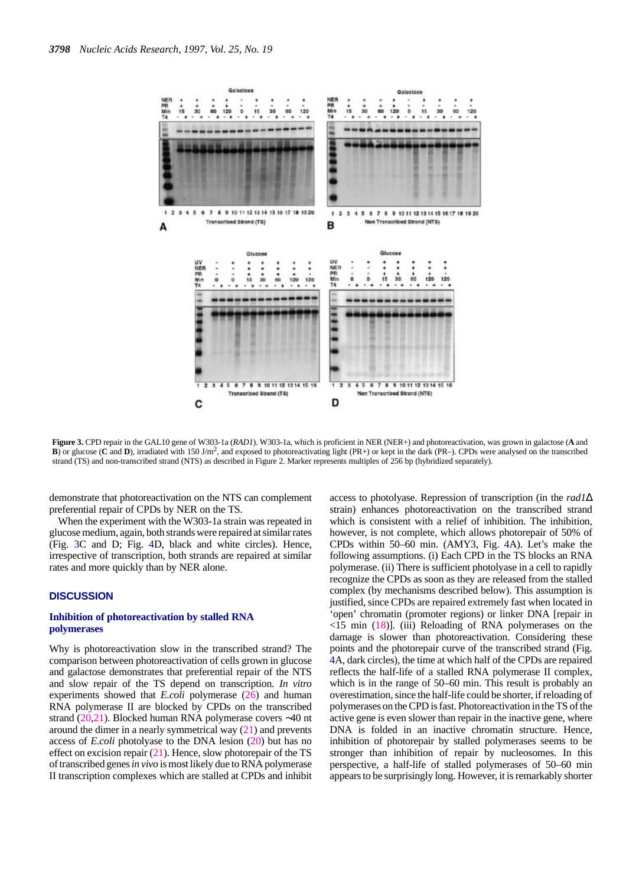

**Figure 3.** CPD repair in the GAL10 gene of W303-1a (*RAD1*). W303-1a, which is proficient in NER (NER+) and photoreactivation, was grown in galactose (**A** and **B**) or glucose (**C** and **D**), irradiated with 150 J/m2, and exposed to photoreactivating light (PR+) or kept in the dark (PR–). CPDs were analysed on the transcribed strand (TS) and non-transcribed strand (NTS) as described in Figure 2. Marker represents multiples of 256 bp (hybridized separately).

demonstrate that photoreactivation on the NTS can complement preferential repair of CPDs by NER on the TS.

When the experiment with the W303-1a strain was repeated in glucose medium, again, both strands were repaired at similar rates (Fig. 3C and D; Fig. 4D, black and white circles). Hence, irrespective of transcription, both strands are repaired at similar rates and more quickly than by NER alone.

#### **DISCUSSION**

#### **Inhibition of photoreactivation by stalled RNA polymerases**

Why is photoreactivation slow in the transcribed strand? The comparison between photoreactivation of cells grown in glucose and galactose demonstrates that preferential repair of the NTS and slow repair of the TS depend on transcription. *In vitro* experiments showed that *E.coli* polymerase (26) and human RNA polymerase II are blocked by CPDs on the transcribed strand (20,21). Blocked human RNA polymerase covers ∼40 nt around the dimer in a nearly symmetrical way (21) and prevents access of *E.coli* photolyase to the DNA lesion (20) but has no effect on excision repair  $(21)$ . Hence, slow photorepair of the TS of transcribed genes *in vivo* is most likely due to RNA polymerase II transcription complexes which are stalled at CPDs and inhibit

access to photolyase. Repression of transcription (in the *rad1*∆ strain) enhances photoreactivation on the transcribed strand which is consistent with a relief of inhibition. The inhibition, however, is not complete, which allows photorepair of 50% of CPDs within 50–60 min. (AMY3, Fig. 4A). Let's make the following assumptions. (i) Each CPD in the TS blocks an RNA polymerase. (ii) There is sufficient photolyase in a cell to rapidly recognize the CPDs as soon as they are released from the stalled complex (by mechanisms described below). This assumption is justified, since CPDs are repaired extremely fast when located in 'open' chromatin (promoter regions) or linker DNA [repair in  $\langle 15 \text{ min } (18)$ ]. (iii) Reloading of RNA polymerases on the damage is slower than photoreactivation. Considering these points and the photorepair curve of the transcribed strand (Fig. 4A, dark circles), the time at which half of the CPDs are repaired reflects the half-life of a stalled RNA polymerase II complex, which is in the range of 50–60 min. This result is probably an overestimation, since the half-life could be shorter, if reloading of polymerases on the CPD is fast. Photoreactivation in the TS of the active gene is even slower than repair in the inactive gene, where DNA is folded in an inactive chromatin structure. Hence, inhibition of photorepair by stalled polymerases seems to be stronger than inhibition of repair by nucleosomes. In this perspective, a half-life of stalled polymerases of 50–60 min appears to be surprisingly long. However, it is remarkably shorter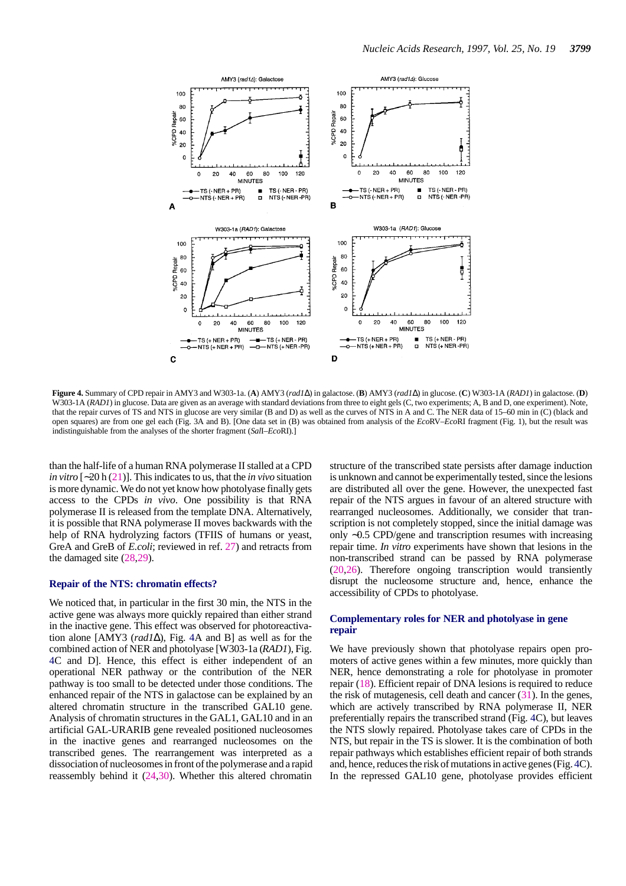

**Figure 4.** Summary of CPD repair in AMY3 and W303-1a. (**A**) AMY3 (*rad1*∆) in galactose. (**B**) AMY3 (*rad1*∆) in glucose. (**C**) W303-1A (*RAD1*) in galactose. (**D**) W303-1A (*RAD1*) in glucose. Data are given as an average with standard deviations from three to eight gels (C, two experiments; A, B and D, one experiment). Note, that the repair curves of TS and NTS in glucose are very similar (B and D) as well as the curves of NTS in A and C. The NER data of 15–60 min in (C) (black and open squares) are from one gel each (Fig. 3A and B). [One data set in (B) was obtained from analysis of the *Eco*RV–*Eco*RI fragment (Fig. 1), but the result was indistinguishable from the analyses of the shorter fragment (*Sal*I–*Eco*RI).]

than the half-life of a human RNA polymerase II stalled at a CPD *in vitro* [∼20 h (21)]. This indicates to us, that the *in vivo* situation is more dynamic. We do not yet know how photolyase finally gets access to the CPDs *in vivo*. One possibility is that RNA polymerase II is released from the template DNA. Alternatively, it is possible that RNA polymerase II moves backwards with the help of RNA hydrolyzing factors (TFIIS of humans or yeast, GreA and GreB of *E.coli*; reviewed in ref. 27) and retracts from the damaged site (28,29).

#### **Repair of the NTS: chromatin effects?**

We noticed that, in particular in the first 30 min, the NTS in the active gene was always more quickly repaired than either strand in the inactive gene. This effect was observed for photoreactivation alone [AMY3 (*rad1*∆), Fig. 4A and B] as well as for the combined action of NER and photolyase [W303-1a (*RAD1*), Fig. 4C and D]. Hence, this effect is either independent of an operational NER pathway or the contribution of the NER pathway is too small to be detected under those conditions. The enhanced repair of the NTS in galactose can be explained by an altered chromatin structure in the transcribed GAL10 gene. Analysis of chromatin structures in the GAL1, GAL10 and in an artificial GAL-URARIB gene revealed positioned nucleosomes in the inactive genes and rearranged nucleosomes on the transcribed genes. The rearrangement was interpreted as a dissociation of nucleosomes in front of the polymerase and a rapid reassembly behind it (24,30). Whether this altered chromatin

structure of the transcribed state persists after damage induction is unknown and cannot be experimentally tested, since the lesions are distributed all over the gene. However, the unexpected fast repair of the NTS argues in favour of an altered structure with rearranged nucleosomes. Additionally, we consider that transcription is not completely stopped, since the initial damage was only ∼0.5 CPD/gene and transcription resumes with increasing repair time. *In vitro* experiments have shown that lesions in the non-transcribed strand can be passed by RNA polymerase (20,26). Therefore ongoing transcription would transiently disrupt the nucleosome structure and, hence, enhance the accessibility of CPDs to photolyase.

#### **Complementary roles for NER and photolyase in gene repair**

We have previously shown that photolyase repairs open promoters of active genes within a few minutes, more quickly than NER, hence demonstrating a role for photolyase in promoter repair (18). Efficient repair of DNA lesions is required to reduce the risk of mutagenesis, cell death and cancer (31). In the genes, which are actively transcribed by RNA polymerase II, NER preferentially repairs the transcribed strand (Fig. 4C), but leaves the NTS slowly repaired. Photolyase takes care of CPDs in the NTS, but repair in the TS is slower. It is the combination of both repair pathways which establishes efficient repair of both strands and, hence, reduces the risk of mutations in active genes (Fig. 4C). In the repressed GAL10 gene, photolyase provides efficient